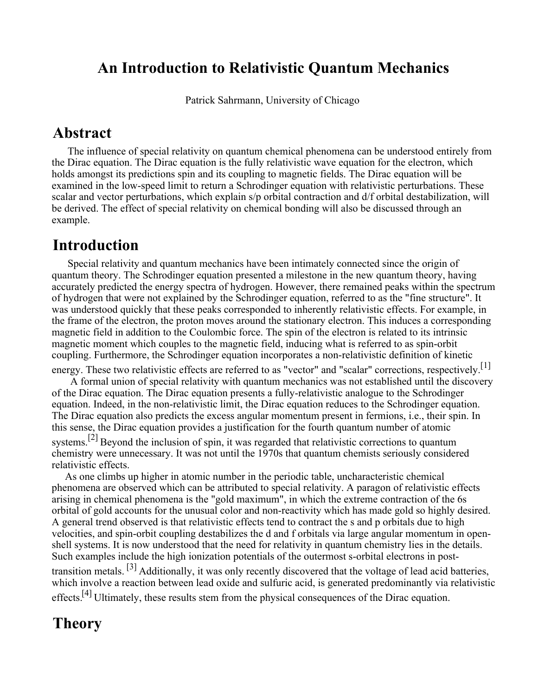### **An Introduction to Relativistic Quantum Mechanics**

Patrick Sahrmann, University of Chicago

#### **Abstract**

 The influence of special relativity on quantum chemical phenomena can be understood entirely from the Dirac equation. The Dirac equation is the fully relativistic wave equation for the electron, which holds amongst its predictions spin and its coupling to magnetic fields. The Dirac equation will be examined in the low-speed limit to return a Schrodinger equation with relativistic perturbations. These scalar and vector perturbations, which explain s/p orbital contraction and d/f orbital destabilization, will be derived. The effect of special relativity on chemical bonding will also be discussed through an example.

### **Introduction**

 Special relativity and quantum mechanics have been intimately connected since the origin of quantum theory. The Schrodinger equation presented a milestone in the new quantum theory, having accurately predicted the energy spectra of hydrogen. However, there remained peaks within the spectrum of hydrogen that were not explained by the Schrodinger equation, referred to as the "fine structure". It was understood quickly that these peaks corresponded to inherently relativistic effects. For example, in the frame of the electron, the proton moves around the stationary electron. This induces a corresponding magnetic field in addition to the Coulombic force. The spin of the electron is related to its intrinsic magnetic moment which couples to the magnetic field, inducing what is referred to as spin-orbit coupling. Furthermore, the Schrodinger equation incorporates a non-relativistic definition of kinetic

energy. These two relativistic effects are referred to as "vector" and "scalar" corrections, respectively.<sup>[1]</sup> A formal union of special relativity with quantum mechanics was not established until the discovery of the Dirac equation. The Dirac equation presents a fully-relativistic analogue to the Schrodinger equation. Indeed, in the non-relativistic limit, the Dirac equation reduces to the Schrodinger equation. The Dirac equation also predicts the excess angular momentum present in fermions, i.e., their spin. In this sense, the Dirac equation provides a justification for the fourth quantum number of atomic systems.<sup>[2]</sup> Beyond the inclusion of spin, it was regarded that relativistic corrections to quantum chemistry were unnecessary. It was not until the 1970s that quantum chemists seriously considered

relativistic effects. As one climbs up higher in atomic number in the periodic table, uncharacteristic chemical phenomena are observed which can be attributed to special relativity. A paragon of relativistic effects arising in chemical phenomena is the "gold maximum", in which the extreme contraction of the 6s orbital of gold accounts for the unusual color and non-reactivity which has made gold so highly desired. A general trend observed is that relativistic effects tend to contract the s and p orbitals due to high velocities, and spin-orbit coupling destabilizes the d and f orbitals via large angular momentum in openshell systems. It is now understood that the need for relativity in quantum chemistry lies in the details. Such examples include the high ionization potentials of the outermost s-orbital electrons in posttransition metals. [3] Additionally, it was only recently discovered that the voltage of lead acid batteries, which involve a reaction between lead oxide and sulfuric acid, is generated predominantly via relativistic

effects.<sup>[4]</sup> Ultimately, these results stem from the physical consequences of the Dirac equation.

## **Theory**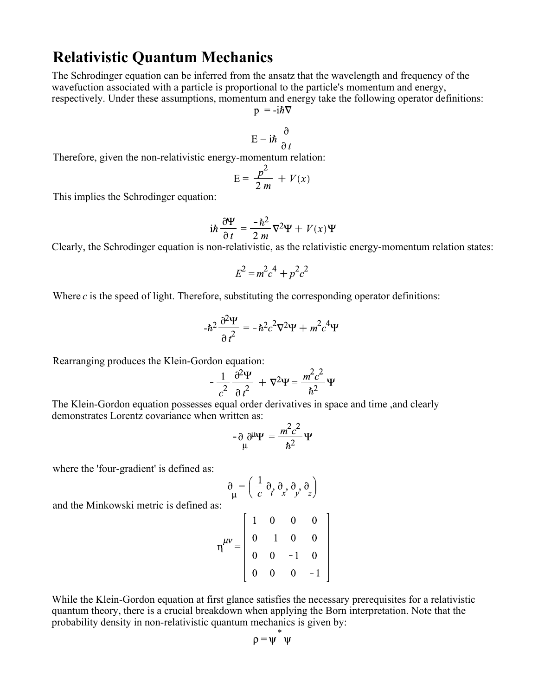### **Relativistic Quantum Mechanics**

The Schrodinger equation can be inferred from the ansatz that the wavelength and frequency of the wavefuction associated with a particle is proportional to the particle's momentum and energy, respectively. Under these assumptions, momentum and energy take the following operator definitions:

$$
p = -1hV
$$

$$
E = i\hbar \frac{\partial}{\partial t}
$$

Therefore, given the non-relativistic energy-momentum relation:

$$
E = \frac{p^2}{2m} + V(x)
$$

This implies the Schrodinger equation:

$$
i\hbar \frac{\partial \Psi}{\partial t} = \frac{-\hbar^2}{2m} \nabla^2 \Psi + V(x)\Psi
$$

Clearly, the Schrodinger equation is non-relativistic, as the relativistic energy-momentum relation states:

$$
E^2 = m^2c^4 + p^2c^2
$$

Where *c* is the speed of light. Therefore, substituting the corresponding operator definitions:

$$
-\hbar^2 \frac{\partial^2 \Psi}{\partial t^2} = -\hbar^2 c^2 \nabla^2 \Psi + m^2 c^4 \Psi
$$

Rearranging produces the Klein-Gordon equation:

$$
-\frac{1}{c^2}\frac{\partial^2\Psi}{\partial t^2} + \nabla^2\Psi = \frac{m^2c^2}{\hbar^2}\Psi
$$

The Klein-Gordon equation possesses equal order derivatives in space and time ,and clearly demonstrates Lorentz covariance when written as:

$$
-\partial \psi \Psi = \frac{m^2 c^2}{\hbar^2} \Psi
$$

where the 'four-gradient' is defined as:

$$
\partial_{\mu} = \left(\frac{1}{c} \partial_{t} \partial_{x} \partial_{y} \partial_{z}\right)
$$

and the Minkowski metric is defined as:

$$
\eta^{\mu\nu} = \begin{bmatrix} 1 & 0 & 0 & 0 \\ 0 & -1 & 0 & 0 \\ 0 & 0 & -1 & 0 \\ 0 & 0 & 0 & -1 \end{bmatrix}
$$

While the Klein-Gordon equation at first glance satisfies the necessary prerequisites for a relativistic quantum theory, there is a crucial breakdown when applying the Born interpretation. Note that the probability density in non-relativistic quantum mechanics is given by:

$$
\rho=\psi\quad\psi
$$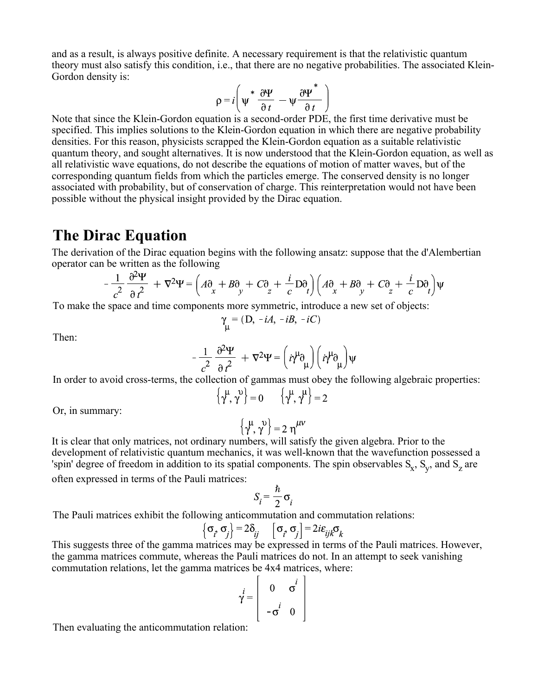and as a result, is always positive definite. A necessary requirement is that the relativistic quantum theory must also satisfy this condition, i.e., that there are no negative probabilities. The associated Klein-Gordon density is:

$$
\rho = i \left( \psi^* \frac{\partial \Psi}{\partial t} - \psi \frac{\partial \Psi^*}{\partial t} \right)
$$

Note that since the Klein-Gordon equation is a second-order PDE, the first time derivative must be specified. This implies solutions to the Klein-Gordon equation in which there are negative probability densities. For this reason, physicists scrapped the Klein-Gordon equation as a suitable relativistic quantum theory, and sought alternatives. It is now understood that the Klein-Gordon equation, as well as all relativistic wave equations, do not describe the equations of motion of matter waves, but of the corresponding quantum fields from which the particles emerge. The conserved density is no longer associated with probability, but of conservation of charge. This reinterpretation would not have been possible without the physical insight provided by the Dirac equation.

### **The Dirac Equation**

The derivation of the Dirac equation begins with the following ansatz: suppose that the d'Alembertian operator can be written as the following

$$
-\frac{1}{c^2} \frac{\partial^2 \Psi}{\partial t^2} + \nabla^2 \Psi = \left(A\partial_x + B\partial_y + C\partial_z + \frac{i}{c} D\partial_t\right) \left(A\partial_x + B\partial_y + C\partial_z + \frac{i}{c} D\partial_t\right) \Psi
$$

To make the space and time components more symmetric, introduce a new set of objects:

$$
\gamma_{\mu} = (D, -iA, -iB, -iC)
$$

Then:

$$
-\frac{1}{c^2} \frac{\partial^2 \Psi}{\partial t^2} + \nabla^2 \Psi = \left(i \gamma^\mu \partial_\mu\right) \left(i \gamma^\mu \partial_\mu\right) \Psi
$$

In order to avoid cross-terms, the collection of gammas must obey the following algebraic properties:

$$
\left\{\gamma^{\mu},\gamma^{\nu}\right\}=0\qquad\left\{\gamma^{\mu},\gamma^{\mu}\right\}=2
$$

Or, in summary:

$$
\left\{\gamma^{\mu},\gamma^{\nu}\right\}=2\;\eta^{\mu\nu}
$$

It is clear that only matrices, not ordinary numbers, will satisfy the given algebra. Prior to the development of relativistic quantum mechanics, it was well-known that the wavefunction possessed a 'spin' degree of freedom in addition to its spatial components. The spin observables  $S_x$ ,  $S_y$ , and  $S_z$  are

often expressed in terms of the Pauli matrices:

$$
S_i = \frac{\hbar}{2} \sigma_i
$$

The Pauli matrices exhibit the following anticommutation and commutation relations:

 $\epsilon$ 

$$
\left\{\sigma_i, \sigma_j\right\} = 2\delta_{ij} \quad \left[\sigma_i, \sigma_j\right] = 2i\varepsilon_{ijk}\sigma_k
$$

This suggests three of the gamma matrices may be expressed in terms of the Pauli matrices. However, the gamma matrices commute, whereas the Pauli matrices do not. In an attempt to seek vanishing commutation relations, let the gamma matrices be 4x4 matrices, where:

$$
\mathbf{y}^i = \left[ \begin{array}{ccc} 0 & \sigma^i \\ -\sigma^i & 0 \end{array} \right]
$$

Then evaluating the anticommutation relation: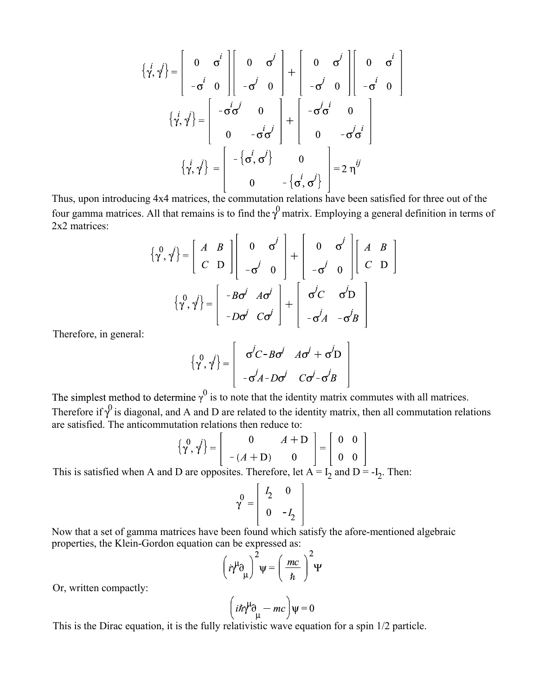$$
\left\{\dot{\gamma}, \dot{\gamma}\right\} = \begin{bmatrix} 0 & \sigma^i \\ -\sigma^i & 0 \end{bmatrix} \begin{bmatrix} 0 & \sigma^j \\ -\sigma^j & 0 \end{bmatrix} + \begin{bmatrix} 0 & \sigma^j \\ -\sigma^j & 0 \end{bmatrix} \begin{bmatrix} 0 & \sigma^i \\ -\sigma^j & 0 \end{bmatrix}
$$

$$
\left\{\dot{\gamma}, \dot{\gamma}\right\} = \begin{bmatrix} -\dot{\sigma}^i \dot{\sigma}^j & 0 \\ 0 & -\dot{\sigma}^i \dot{\sigma}^j \end{bmatrix} + \begin{bmatrix} -\dot{\sigma}^j \dot{\sigma}^i & 0 \\ 0 & -\dot{\sigma}^j \dot{\sigma}^i \end{bmatrix}
$$

$$
\left\{\dot{\gamma}, \dot{\gamma}\right\} = \begin{bmatrix} -\left\{\dot{\sigma}, \sigma^i\right\} & 0 \\ 0 & -\left\{\dot{\sigma}, \sigma^j\right\} \end{bmatrix} = 2 \eta^{ij}
$$

Thus, upon introducing 4x4 matrices, the commutation relations have been satisfied for three out of the four gamma matrices. All that remains is to find the  $\gamma^0$  matrix. Employing a general definition in terms of 2x2 matrices:

$$
\begin{aligned}\n\{\gamma^0, \gamma^j\} &= \begin{bmatrix} A & B \\ C & D \end{bmatrix} \begin{bmatrix} 0 & \sigma^j \\ -\sigma^j & 0 \end{bmatrix} + \begin{bmatrix} 0 & \sigma^j \\ -\sigma^j & 0 \end{bmatrix} \begin{bmatrix} A & B \\ C & D \end{bmatrix} \\
\{\gamma^0, \gamma^j\} &= \begin{bmatrix} -B\sigma^j & A\sigma^j \\ -D\sigma^j & C\sigma^j \end{bmatrix} + \begin{bmatrix} \sigma^j C & \sigma^j D \\ -\sigma^j A & -\sigma^j B \end{bmatrix}\n\end{aligned}
$$

Therefore, in general:

$$
\left\{\gamma^0, \gamma^j\right\} = \left[\begin{array}{cc} \sigma^j C - B \sigma^j & A \sigma^j + \sigma^j D \\ -\sigma^j A - D \sigma^j & C \sigma^j - \sigma^j B \end{array}\right]
$$

 $<sup>0</sup>$  is to note that the identity matrix commutes with all matrices.</sup> Therefore if  $\gamma^0$  is diagonal, and A and D are related to the identity matrix, then all commutation relations are satisfied. The anticommutation relations then reduce to:

$$
\left\{\gamma^0, \gamma^j\right\} = \left[\begin{array}{cc} 0 & A+\mathbf{D} \\ -(A+\mathbf{D}) & 0 \end{array}\right] = \left[\begin{array}{cc} 0 & 0 \\ 0 & 0 \end{array}\right]
$$

This is satisfied when A and D are opposites. Therefore, let  $A = I_2$  and  $D = -I_2$ . Then:

$$
\gamma^0 = \begin{vmatrix} I_2 & 0 \\ 0 & -I_2 \end{vmatrix}
$$

Now that a set of gamma matrices have been found which satisfy the afore-mentioned algebraic properties, the Klein-Gordon equation can be expressed as:

$$
\left(\dot{\eta}^{\mu}\partial_{\mu}\right)^{2}\psi = \left(\frac{mc}{\hbar}\right)^{2}\Psi
$$

Or, written compactly:

$$
\left(i\hbar\gamma^{\mu}\partial_{\mu} - mc\right)\psi = 0
$$

This is the Dirac equation, it is the fully relativistic wave equation for a spin 1/2 particle.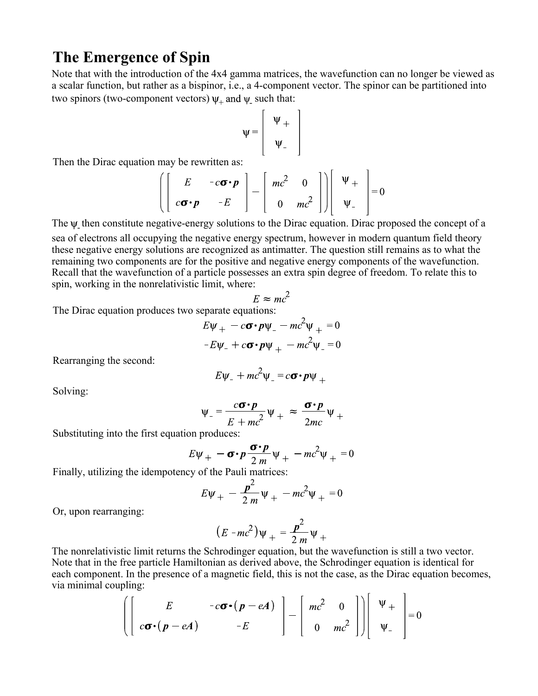### **The Emergence of Spin**

Note that with the introduction of the 4x4 gamma matrices, the wavefunction can no longer be viewed as a scalar function, but rather as a bispinor, i.e., a 4-component vector. The spinor can be partitioned into two spinors (two-component vectors)  $\psi_+$  and  $\psi_-$  such that:

$$
\psi = \begin{bmatrix} \Psi_+ \\ \Psi_- \end{bmatrix}
$$

Then the Dirac equation may be rewritten as:

$$
\left[\begin{bmatrix} E & -c\boldsymbol{\sigma}\cdot\boldsymbol{p} \\ c\boldsymbol{\sigma}\cdot\boldsymbol{p} & -E \end{bmatrix} - \begin{bmatrix} mc^2 & 0 \\ 0 & mc^2 \end{bmatrix}\right] \begin{bmatrix} \Psi_+ \\ \Psi_- \end{bmatrix} = 0
$$

The  $\psi$  then constitute negative-energy solutions to the Dirac equation. Dirac proposed the concept of a sea of electrons all occupying the negative energy spectrum, however in modern quantum field theory these negative energy solutions are recognized as antimatter. The question still remains as to what the remaining two components are for the positive and negative energy components of the wavefunction. Recall that the wavefunction of a particle possesses an extra spin degree of freedom. To relate this to

$$
E \approx mc^2
$$

The Dirac equation produces two separate equations:

spin, working in the nonrelativistic limit, where:

$$
E\psi_{+} - c\sigma \cdot p\psi_{-} - mc^{2}\psi_{+} = 0
$$

$$
-E\psi_{-} + c\sigma \cdot p\psi_{+} - mc^{2}\psi_{-} = 0
$$

Rearranging the second:

$$
E\psi_{-} + mc^2 \psi_{-} = c\boldsymbol{\sigma} \cdot \boldsymbol{p} \psi_{+}
$$

Solving:

$$
\Psi_{-} = \frac{c\sigma \cdot p}{E + mc^2} \Psi_{+} \approx \frac{\sigma \cdot p}{2mc} \Psi_{+}
$$

Substituting into the first equation produces:

$$
E\psi_{+} - \sigma \cdot p \frac{\sigma \cdot p}{2m} \psi_{+} - mc^2 \psi_{+} = 0
$$

Finally, utilizing the idempotency of the Pauli matrices:

$$
E\Psi_{+} - \frac{p^2}{2m}\Psi_{+} - mc^2\Psi_{+} = 0
$$

Or, upon rearranging:

$$
(E-mc^2)\Psi_+ = \frac{p^2}{2m}\Psi_+
$$

The nonrelativistic limit returns the Schrodinger equation, but the wavefunction is still a two vector. Note that in the free particle Hamiltonian as derived above, the Schrodinger equation is identical for each component. In the presence of a magnetic field, this is not the case, as the Dirac equation becomes, via minimal coupling:

$$
\left(\left[\begin{array}{cc} E & -c\boldsymbol{\sigma}\cdot(\boldsymbol{p}-e\boldsymbol{A}) \\ c\boldsymbol{\sigma}\cdot(\boldsymbol{p}-e\boldsymbol{A}) & -E \end{array}\right] - \left[\begin{array}{cc} mc^2 & 0 \\ 0 & mc^2 \end{array}\right]\right)\left[\begin{array}{c} \Psi_+ \\ \Psi_- \end{array}\right] = 0
$$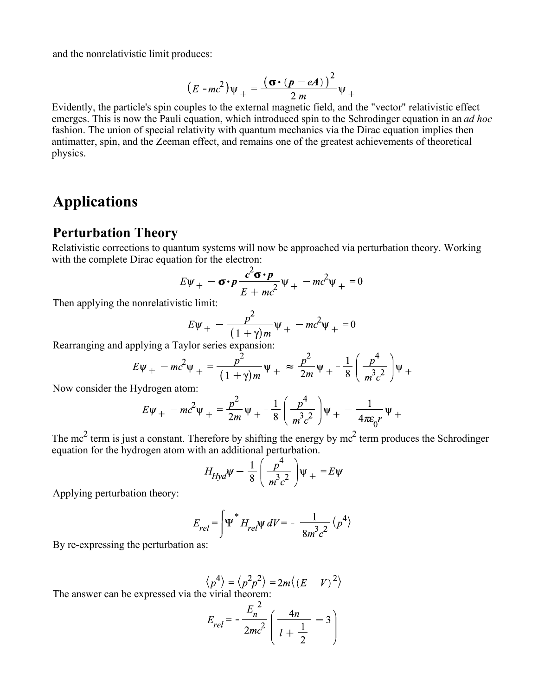and the nonrelativistic limit produces:

$$
(E - mc^2)\psi_+ = \frac{(\boldsymbol{\sigma} \cdot (\boldsymbol{p} - e\boldsymbol{A}))^2}{2m}\psi_+
$$

Evidently, the particle's spin couples to the external magnetic field, and the "vector" relativistic effect emerges. This is now the Pauli equation, which introduced spin to the Schrodinger equation in an *ad hoc* fashion. The union of special relativity with quantum mechanics via the Dirac equation implies then antimatter, spin, and the Zeeman effect, and remains one of the greatest achievements of theoretical physics.

## **Applications**

#### **Perturbation Theory**

Relativistic corrections to quantum systems will now be approached via perturbation theory. Working with the complete Dirac equation for the electron:

$$
E\Psi_{+} - \sigma \cdot p \frac{c^2 \sigma \cdot p}{E + mc^2} \Psi_{+} - mc^2 \Psi_{+} = 0
$$

Then applying the nonrelativistic limit:

$$
E\Psi_{+} - \frac{p^2}{(1+\gamma)m}\Psi_{+} - mc^2\Psi_{+} = 0
$$

Rearranging and applying a Taylor series expansion:

$$
E\Psi_{+} - mc^{2}\Psi_{+} = \frac{p^{2}}{(1+\gamma)m}\Psi_{+} \approx \frac{p^{2}}{2m}\Psi_{+} - \frac{1}{8}\left(\frac{p^{4}}{m^{3}c^{2}}\right)\Psi_{+}
$$

Now consider the Hydrogen atom:

$$
E\psi_{+} - mc^{2}\psi_{+} = \frac{p^{2}}{2m}\psi_{+} - \frac{1}{8}\left(\frac{p^{4}}{m^{3}c^{2}}\right)\psi_{+} - \frac{1}{4\pi\epsilon_{0}r}\psi_{+}
$$

The mc<sup>2</sup> term is just a constant. Therefore by shifting the energy by mc<sup>2</sup> term produces the Schrodinger equation for the hydrogen atom with an additional perturbation.

$$
H_{Hyd}\Psi - \frac{1}{8} \left( \frac{p^4}{m^3 c^2} \right) \Psi_+ = E \Psi
$$

Applying perturbation theory:

$$
E_{rel} = \int \Psi^* H_{rel} \Psi \, dV = -\frac{1}{8m^3 c^2} \left\langle p^4 \right\rangle
$$

By re-expressing the perturbation as:

$$
\langle p^4 \rangle = \langle p^2 p^2 \rangle = 2m \langle (E - V)^2 \rangle
$$
  
|\dot{z} \rangle = virial theorem:

The answer can be expressed via the virial theorem:

$$
E_{rel} = -\frac{E_n^2}{2mc^2} \left( \frac{4n}{l + \frac{1}{2}} - 3 \right)
$$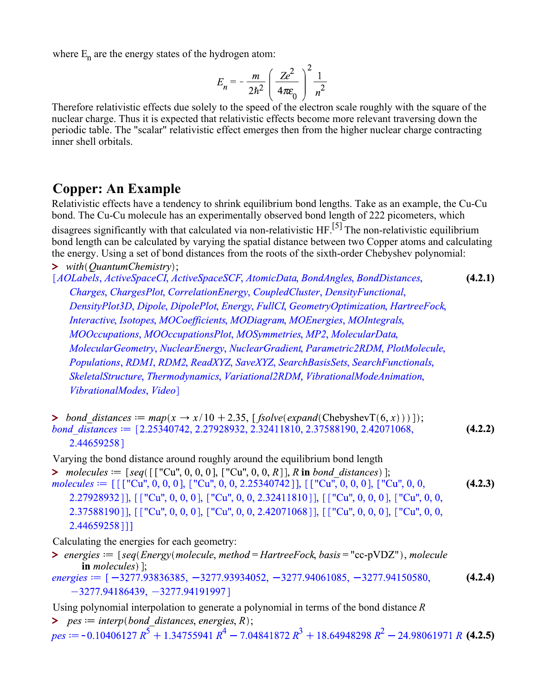where  $E_n$  are the energy states of the hydrogen atom:

$$
E_n = -\frac{m}{2\hbar^2} \left(\frac{Ze^2}{4\pi\varepsilon_0}\right)^2 \frac{1}{n^2}
$$

Therefore relativistic effects due solely to the speed of the electron scale roughly with the square of the nuclear charge. Thus it is expected that relativistic effects become more relevant traversing down the periodic table. The "scalar" relativistic effect emerges then from the higher nuclear charge contracting inner shell orbitals.

### **Copper: An Example**

Relativistic effects have a tendency to shrink equilibrium bond lengths. Take as an example, the Cu-Cu bond. The Cu-Cu molecule has an experimentally observed bond length of 222 picometers, which disagrees significantly with that calculated via non-relativistic HF.<sup>[5]</sup> The non-relativistic equilibrium bond length can be calculated by varying the spatial distance between two Copper atoms and calculating the energy. Using a set of bond distances from the roots of the sixth-order Chebyshev polynomial: > with(QuantumChemistry);<br>[AOLabels, ActiveSpaceCI, ActiveSpaceSCF, AtomicData, BondAngles, BondDistances, **(4.2.1)** Charges, ChargesPlot, CorrelationEnergy, CoupledCluster, DensityFunctional, DensityPlot3D, Dipole, DipolePlot, Energy, FullCI, GeometryOptimization, HartreeFock, Interactive, Isotopes, MOCoefficients, MODiagram, MOEnergies, MOIntegrals, MOOccupations, MOOccupationsPlot, MOSymmetries, MP2, MolecularData, MolecularGeometry, NuclearEnergy, NuclearGradient, Parametric2RDM, PlotMolecule, Populations, RDM1, RDM2, ReadXYZ, SaveXYZ, SearchBasisSets, SearchFunctionals, SkeletalStructure, Thermodynamics, Variational2RDM, VibrationalModeAnimation, VibrationalModes, Video]

> bond distances  $:= map(x \rightarrow x/10 + 2.35, [fsolve(expand(ChebyshevT(6, x)))]);$ bond distances  $:=$  [2.25340742, 2.27928932, 2.32411810, 2.37588190, 2.42071068, **(4.2.2)** 2.44659258]

Varying the bond distance around roughly around the equilibrium bond length

> molecules :=  $[seq([["Cu", 0, 0, 0], ["Cu", 0, 0, R]], R$  in bond\_distances) ];<br>molecules :=  $[[["Cu", 0, 0, 0], ["Cu", 0, 0, 2.25340742]], [[["Cu", 0, 0, 0], ["Cu", 0, 0,$ **(4.2.3)** 2.27928932]], [["Cu", 0, 0, 0], ["Cu", 0, 0, 2.32411810]], [["Cu", 0, 0, 0], ["Cu", 0, 0, 2.37588190]], [["Cu", 0, 0, 0], ["Cu", 0, 0, 2.42071068]], [["Cu", 0, 0, 0], ["Cu", 0, 0, 2.44659258]]]

Calculating the energies for each geometry:

- > energies  $:=$  [seq(Energy(molecule, method = HartreeFock, basis = "cc-pVDZ"), molecule in *molecules*)  $\vdots$
- energies :=  $[-3277.93836385, -3277.93934052, -3277.94061085, -3277.94150580,$ **(4.2.4)**  $-3277.94186439, -3277.94191997$
- Using polynomial interpolation to generate a polynomial in terms of the bond distance *R*
- $>$  *pes*  $:=$  *interp*(*bond distances, energies, R*);

 $pes := -0.10406127 R^5 + 1.34755941 R^4 - 7.04841872 R^3 + 18.64948298 R^2 - 24.98061971 R$  (4.2.5)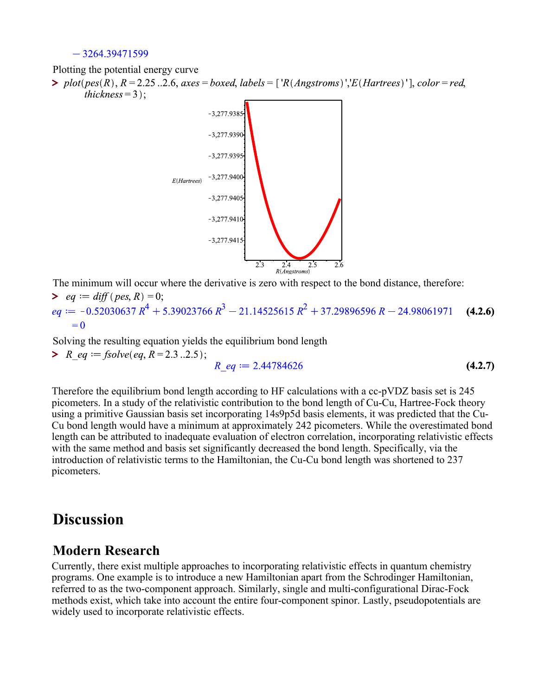$-3264.39471599$ 

Plotting the potential energy curve

 $\triangleright$  plot(pes(R),  $R = 2.25$ ..2.6, axes = boxed, labels = ['R(Angstroms)','E(Hartrees)'], color = red, thickness =  $3$  :



The minimum will occur where the derivative is zero with respect to the bond distance, therefore:

> eq := diff (pes, R) = 0;<br>
eq := -0.52030637  $R^4$  + 5.39023766  $R^3$  - 21.14525615  $R^2$  + 37.29896596 R - 24.98061971 **(4.2.6)**  $= 0$ 

**>**  $R$  eq := fsolve(eq,  $R = 2.3$ ...2.5); Solving the resulting equation yields the equilibrium bond length

$$
R_{eq} := 2.44784626 \tag{4.2.7}
$$

Therefore the equilibrium bond length according to HF calculations with a cc-pVDZ basis set is 245 picometers. In a study of the relativistic contribution to the bond length of Cu-Cu, Hartree-Fock theory using a primitive Gaussian basis set incorporating 14s9p5d basis elements, it was predicted that the Cu-Cu bond length would have a minimum at approximately 242 picometers. While the overestimated bond length can be attributed to inadequate evaluation of electron correlation, incorporating relativistic effects with the same method and basis set significantly decreased the bond length. Specifically, via the introduction of relativistic terms to the Hamiltonian, the Cu-Cu bond length was shortened to 237 picometers.

## **Discussion**

#### **Modern Research**

Currently, there exist multiple approaches to incorporating relativistic effects in quantum chemistry programs. One example is to introduce a new Hamiltonian apart from the Schrodinger Hamiltonian, referred to as the two-component approach. Similarly, single and multi-configurational Dirac-Fock methods exist, which take into account the entire four-component spinor. Lastly, pseudopotentials are widely used to incorporate relativistic effects.